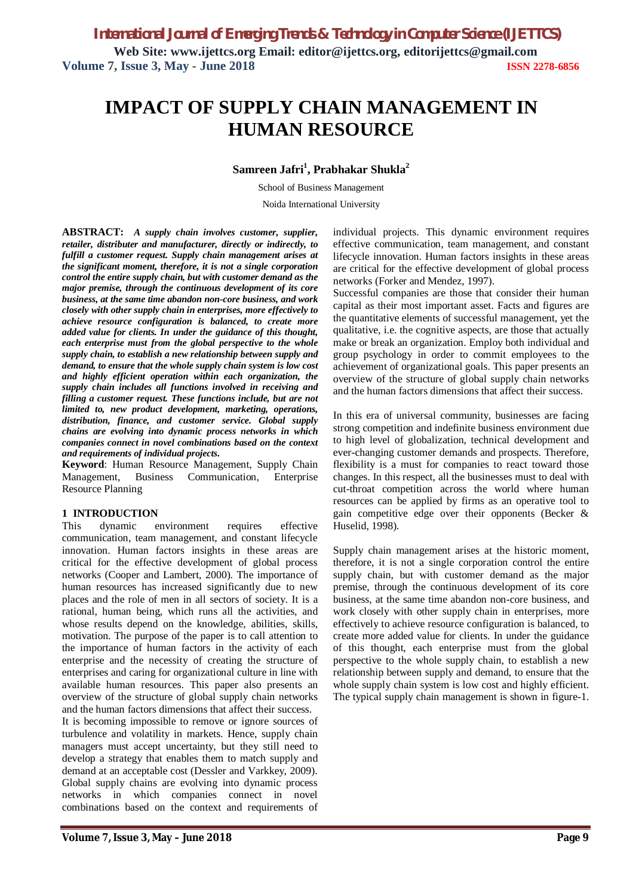# **IMPACT OF SUPPLY CHAIN MANAGEMENT IN HUMAN RESOURCE**

### **Samreen Jafri<sup>1</sup> , Prabhakar Shukla<sup>2</sup>**

School of Business Management Noida International University

**ABSTRACT:** *A supply chain involves customer, supplier, retailer, distributer and manufacturer, directly or indirectly, to fulfill a customer request. Supply chain management arises at the significant moment, therefore, it is not a single corporation control the entire supply chain, but with customer demand as the major premise, through the continuous development of its core business, at the same time abandon non-core business, and work closely with other supply chain in enterprises, more effectively to achieve resource configuration is balanced, to create more added value for clients. In under the guidance of this thought, each enterprise must from the global perspective to the whole supply chain, to establish a new relationship between supply and demand, to ensure that the whole supply chain system is low cost and highly efficient operation within each organization, the supply chain includes all functions involved in receiving and filling a customer request. These functions include, but are not limited to, new product development, marketing, operations, distribution, finance, and customer service. Global supply chains are evolving into dynamic process networks in which companies connect in novel combinations based on the context and requirements of individual projects.* 

**Keyword**: Human Resource Management, Supply Chain Management, Business Communication, Enterprise Resource Planning

#### **1 INTRODUCTION**

This dynamic environment requires effective communication, team management, and constant lifecycle innovation. Human factors insights in these areas are critical for the effective development of global process networks (Cooper and Lambert, 2000). The importance of human resources has increased significantly due to new places and the role of men in all sectors of society. It is a rational, human being, which runs all the activities, and whose results depend on the knowledge, abilities, skills, motivation. The purpose of the paper is to call attention to the importance of human factors in the activity of each enterprise and the necessity of creating the structure of enterprises and caring for organizational culture in line with available human resources. This paper also presents an overview of the structure of global supply chain networks and the human factors dimensions that affect their success.

It is becoming impossible to remove or ignore sources of turbulence and volatility in markets. Hence, supply chain managers must accept uncertainty, but they still need to develop a strategy that enables them to match supply and demand at an acceptable cost (Dessler and Varkkey, 2009). Global supply chains are evolving into dynamic process networks in which companies connect in novel combinations based on the context and requirements of

individual projects. This dynamic environment requires effective communication, team management, and constant lifecycle innovation. Human factors insights in these areas are critical for the effective development of global process networks (Forker and Mendez, 1997).

Successful companies are those that consider their human capital as their most important asset. Facts and figures are the quantitative elements of successful management, yet the qualitative, i.e. the cognitive aspects, are those that actually make or break an organization. Employ both individual and group psychology in order to commit employees to the achievement of organizational goals. This paper presents an overview of the structure of global supply chain networks and the human factors dimensions that affect their success.

In this era of universal community, businesses are facing strong competition and indefinite business environment due to high level of globalization, technical development and ever-changing customer demands and prospects. Therefore, flexibility is a must for companies to react toward those changes. In this respect, all the businesses must to deal with cut-throat competition across the world where human resources can be applied by firms as an operative tool to gain competitive edge over their opponents (Becker & Huselid, 1998).

Supply chain management arises at the historic moment, therefore, it is not a single corporation control the entire supply chain, but with customer demand as the major premise, through the continuous development of its core business, at the same time abandon non-core business, and work closely with other supply chain in enterprises, more effectively to achieve resource configuration is balanced, to create more added value for clients. In under the guidance of this thought, each enterprise must from the global perspective to the whole supply chain, to establish a new relationship between supply and demand, to ensure that the whole supply chain system is low cost and highly efficient. The typical supply chain management is shown in figure-1.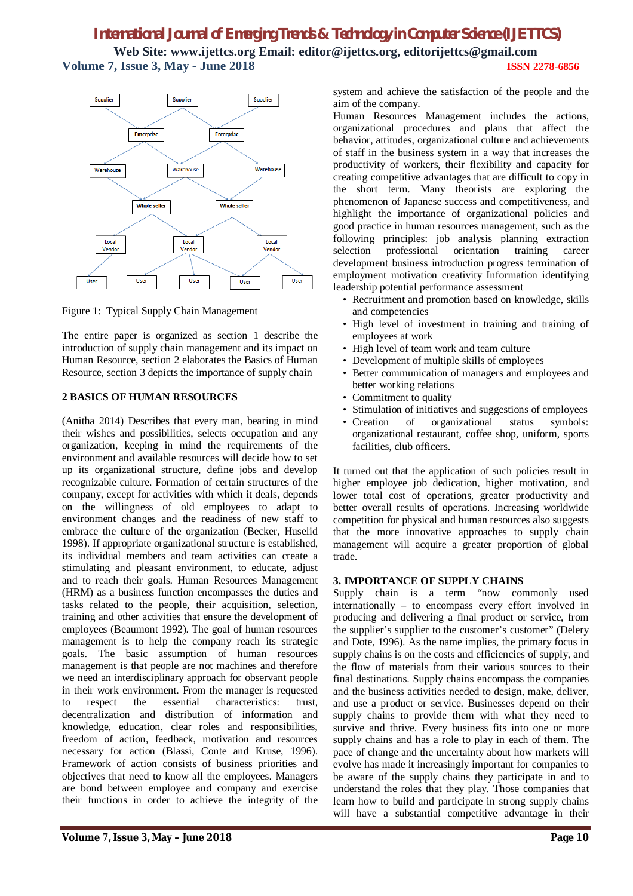## *International Journal of Emerging Trends & Technology in Computer Science (IJETTCS)*

**Web Site: www.ijettcs.org Email: editor@ijettcs.org, editorijettcs@gmail.com Volume 7, Issue 3, May - June 2018 ISSN 2278-6856**



Figure 1: Typical Supply Chain Management

The entire paper is organized as section 1 describe the introduction of supply chain management and its impact on Human Resource, section 2 elaborates the Basics of Human Resource, section 3 depicts the importance of supply chain

### **2 BASICS OF HUMAN RESOURCES**

(Anitha 2014) Describes that every man, bearing in mind their wishes and possibilities, selects occupation and any organization, keeping in mind the requirements of the environment and available resources will decide how to set up its organizational structure, define jobs and develop recognizable culture. Formation of certain structures of the company, except for activities with which it deals, depends on the willingness of old employees to adapt to environment changes and the readiness of new staff to embrace the culture of the organization (Becker, Huselid 1998). If appropriate organizational structure is established, its individual members and team activities can create a stimulating and pleasant environment, to educate, adjust and to reach their goals. Human Resources Management (HRM) as a business function encompasses the duties and tasks related to the people, their acquisition, selection, training and other activities that ensure the development of employees (Beaumont 1992). The goal of human resources management is to help the company reach its strategic goals. The basic assumption of human resources management is that people are not machines and therefore we need an interdisciplinary approach for observant people in their work environment. From the manager is requested to respect the essential characteristics: trust, decentralization and distribution of information and knowledge, education, clear roles and responsibilities, freedom of action, feedback, motivation and resources necessary for action (Blassi, Conte and Kruse, 1996). Framework of action consists of business priorities and objectives that need to know all the employees. Managers are bond between employee and company and exercise their functions in order to achieve the integrity of the

Human Resources Management includes the actions, organizational procedures and plans that affect the behavior, attitudes, organizational culture and achievements of staff in the business system in a way that increases the productivity of workers, their flexibility and capacity for creating competitive advantages that are difficult to copy in the short term. Many theorists are exploring the phenomenon of Japanese success and competitiveness, and highlight the importance of organizational policies and good practice in human resources management, such as the following principles: job analysis planning extraction selection professional orientation training career development business introduction progress termination of employment motivation creativity Information identifying leadership potential performance assessment

- Recruitment and promotion based on knowledge, skills and competencies
- High level of investment in training and training of employees at work
- High level of team work and team culture
- Development of multiple skills of employees
- Better communication of managers and employees and better working relations
- Commitment to quality
- Stimulation of initiatives and suggestions of employees
- Creation of organizational status symbols: organizational restaurant, coffee shop, uniform, sports facilities, club officers.

It turned out that the application of such policies result in higher employee job dedication, higher motivation, and lower total cost of operations, greater productivity and better overall results of operations. Increasing worldwide competition for physical and human resources also suggests that the more innovative approaches to supply chain management will acquire a greater proportion of global trade.

### **3. IMPORTANCE OF SUPPLY CHAINS**

Supply chain is a term "now commonly used internationally – to encompass every effort involved in producing and delivering a final product or service, from the supplier's supplier to the customer's customer" (Delery and Dote, 1996). As the name implies, the primary focus in supply chains is on the costs and efficiencies of supply, and the flow of materials from their various sources to their final destinations. Supply chains encompass the companies and the business activities needed to design, make, deliver, and use a product or service. Businesses depend on their supply chains to provide them with what they need to survive and thrive. Every business fits into one or more supply chains and has a role to play in each of them. The pace of change and the uncertainty about how markets will evolve has made it increasingly important for companies to be aware of the supply chains they participate in and to understand the roles that they play. Those companies that learn how to build and participate in strong supply chains will have a substantial competitive advantage in their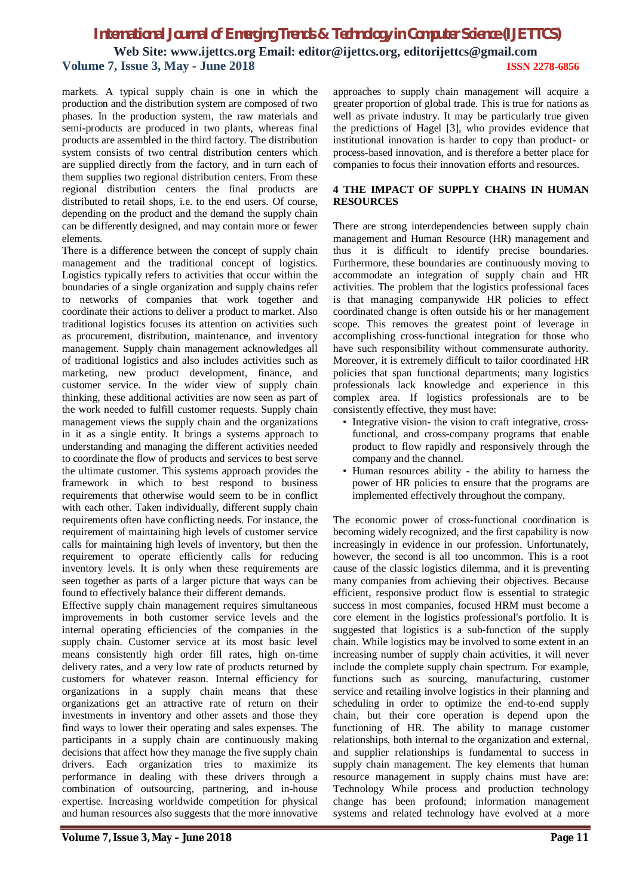### *International Journal of Emerging Trends & Technology in Computer Science (IJETTCS)* **Web Site: www.ijettcs.org Email: editor@ijettcs.org, editorijettcs@gmail.com Volume 7, Issue 3, May - June 2018 ISSN 2278-6856**

markets. A typical supply chain is one in which the production and the distribution system are composed of two phases. In the production system, the raw materials and semi-products are produced in two plants, whereas final products are assembled in the third factory. The distribution system consists of two central distribution centers which are supplied directly from the factory, and in turn each of them supplies two regional distribution centers. From these regional distribution centers the final products are distributed to retail shops, i.e. to the end users. Of course, depending on the product and the demand the supply chain can be differently designed, and may contain more or fewer elements.

There is a difference between the concept of supply chain management and the traditional concept of logistics. Logistics typically refers to activities that occur within the boundaries of a single organization and supply chains refer to networks of companies that work together and coordinate their actions to deliver a product to market. Also traditional logistics focuses its attention on activities such as procurement, distribution, maintenance, and inventory management. Supply chain management acknowledges all of traditional logistics and also includes activities such as marketing, new product development, finance, and customer service. In the wider view of supply chain thinking, these additional activities are now seen as part of the work needed to fulfill customer requests. Supply chain management views the supply chain and the organizations in it as a single entity. It brings a systems approach to understanding and managing the different activities needed to coordinate the flow of products and services to best serve the ultimate customer. This systems approach provides the framework in which to best respond to business requirements that otherwise would seem to be in conflict with each other. Taken individually, different supply chain requirements often have conflicting needs. For instance, the requirement of maintaining high levels of customer service calls for maintaining high levels of inventory, but then the requirement to operate efficiently calls for reducing inventory levels. It is only when these requirements are seen together as parts of a larger picture that ways can be found to effectively balance their different demands.

Effective supply chain management requires simultaneous improvements in both customer service levels and the internal operating efficiencies of the companies in the supply chain. Customer service at its most basic level means consistently high order fill rates, high on-time delivery rates, and a very low rate of products returned by customers for whatever reason. Internal efficiency for organizations in a supply chain means that these organizations get an attractive rate of return on their investments in inventory and other assets and those they find ways to lower their operating and sales expenses. The participants in a supply chain are continuously making decisions that affect how they manage the five supply chain drivers. Each organization tries to maximize its performance in dealing with these drivers through a combination of outsourcing, partnering, and in-house expertise. Increasing worldwide competition for physical and human resources also suggests that the more innovative

approaches to supply chain management will acquire a greater proportion of global trade. This is true for nations as well as private industry. It may be particularly true given the predictions of Hagel [3], who provides evidence that institutional innovation is harder to copy than product- or process-based innovation, and is therefore a better place for companies to focus their innovation efforts and resources.

#### **4 THE IMPACT OF SUPPLY CHAINS IN HUMAN RESOURCES**

There are strong interdependencies between supply chain management and Human Resource (HR) management and thus it is difficult to identify precise boundaries. Furthermore, these boundaries are continuously moving to accommodate an integration of supply chain and HR activities. The problem that the logistics professional faces is that managing companywide HR policies to effect coordinated change is often outside his or her management scope. This removes the greatest point of leverage in accomplishing cross-functional integration for those who have such responsibility without commensurate authority. Moreover, it is extremely difficult to tailor coordinated HR policies that span functional departments; many logistics professionals lack knowledge and experience in this complex area. If logistics professionals are to be consistently effective, they must have:

- Integrative vision- the vision to craft integrative, crossfunctional, and cross-company programs that enable product to flow rapidly and responsively through the company and the channel.
- Human resources ability the ability to harness the power of HR policies to ensure that the programs are implemented effectively throughout the company.

The economic power of cross-functional coordination is becoming widely recognized, and the first capability is now increasingly in evidence in our profession. Unfortunately, however, the second is all too uncommon. This is a root cause of the classic logistics dilemma, and it is preventing many companies from achieving their objectives. Because efficient, responsive product flow is essential to strategic success in most companies, focused HRM must become a core element in the logistics professional's portfolio. It is suggested that logistics is a sub-function of the supply chain. While logistics may be involved to some extent in an increasing number of supply chain activities, it will never include the complete supply chain spectrum. For example, functions such as sourcing, manufacturing, customer service and retailing involve logistics in their planning and scheduling in order to optimize the end-to-end supply chain, but their core operation is depend upon the functioning of HR. The ability to manage customer relationships, both internal to the organization and external, and supplier relationships is fundamental to success in supply chain management. The key elements that human resource management in supply chains must have are: Technology While process and production technology change has been profound; information management systems and related technology have evolved at a more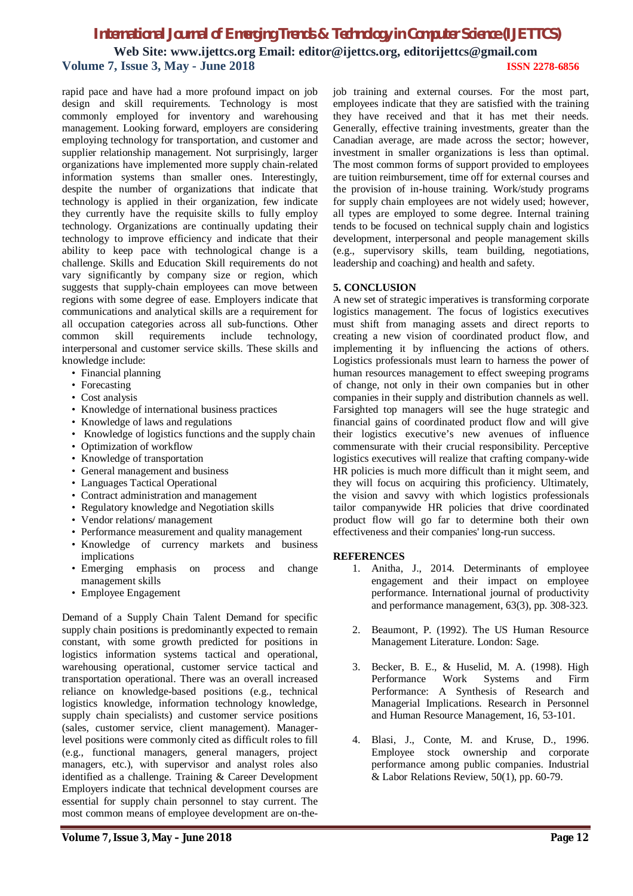### *International Journal of Emerging Trends & Technology in Computer Science (IJETTCS)* **Web Site: www.ijettcs.org Email: editor@ijettcs.org, editorijettcs@gmail.com Volume 7, Issue 3, May - June 2018 ISSN 2278-6856**

rapid pace and have had a more profound impact on job design and skill requirements. Technology is most commonly employed for inventory and warehousing management. Looking forward, employers are considering employing technology for transportation, and customer and supplier relationship management. Not surprisingly, larger organizations have implemented more supply chain-related information systems than smaller ones. Interestingly, despite the number of organizations that indicate that technology is applied in their organization, few indicate they currently have the requisite skills to fully employ technology. Organizations are continually updating their technology to improve efficiency and indicate that their ability to keep pace with technological change is a challenge. Skills and Education Skill requirements do not vary significantly by company size or region, which suggests that supply-chain employees can move between regions with some degree of ease. Employers indicate that communications and analytical skills are a requirement for all occupation categories across all sub-functions. Other common skill requirements include technology, interpersonal and customer service skills. These skills and knowledge include:

- Financial planning
- Forecasting
- Cost analysis
- Knowledge of international business practices
- Knowledge of laws and regulations
- Knowledge of logistics functions and the supply chain
- Optimization of workflow
- Knowledge of transportation
- General management and business
- Languages Tactical Operational
- Contract administration and management
- Regulatory knowledge and Negotiation skills
- Vendor relations/ management
- Performance measurement and quality management
- Knowledge of currency markets and business implications
- Emerging emphasis on process and change management skills
- Employee Engagement

Demand of a Supply Chain Talent Demand for specific supply chain positions is predominantly expected to remain constant, with some growth predicted for positions in logistics information systems tactical and operational, warehousing operational, customer service tactical and transportation operational. There was an overall increased reliance on knowledge-based positions (e.g., technical logistics knowledge, information technology knowledge, supply chain specialists) and customer service positions (sales, customer service, client management). Managerlevel positions were commonly cited as difficult roles to fill (e.g., functional managers, general managers, project managers, etc.), with supervisor and analyst roles also identified as a challenge. Training & Career Development Employers indicate that technical development courses are essential for supply chain personnel to stay current. The most common means of employee development are on-thejob training and external courses. For the most part, employees indicate that they are satisfied with the training they have received and that it has met their needs. Generally, effective training investments, greater than the Canadian average, are made across the sector; however, investment in smaller organizations is less than optimal. The most common forms of support provided to employees are tuition reimbursement, time off for external courses and the provision of in-house training. Work/study programs for supply chain employees are not widely used; however, all types are employed to some degree. Internal training tends to be focused on technical supply chain and logistics development, interpersonal and people management skills (e.g., supervisory skills, team building, negotiations, leadership and coaching) and health and safety.

#### **5. CONCLUSION**

A new set of strategic imperatives is transforming corporate logistics management. The focus of logistics executives must shift from managing assets and direct reports to creating a new vision of coordinated product flow, and implementing it by influencing the actions of others. Logistics professionals must learn to harness the power of human resources management to effect sweeping programs of change, not only in their own companies but in other companies in their supply and distribution channels as well. Farsighted top managers will see the huge strategic and financial gains of coordinated product flow and will give their logistics executive's new avenues of influence commensurate with their crucial responsibility. Perceptive logistics executives will realize that crafting company-wide HR policies is much more difficult than it might seem, and they will focus on acquiring this proficiency. Ultimately, the vision and savvy with which logistics professionals tailor companywide HR policies that drive coordinated product flow will go far to determine both their own effectiveness and their companies' long-run success.

#### **REFERENCES**

- 1. Anitha, J., 2014. Determinants of employee engagement and their impact on employee performance. International journal of productivity and performance management, 63(3), pp. 308-323.
- 2. Beaumont, P. (1992). The US Human Resource Management Literature. London: Sage.
- 3. Becker, B. E., & Huselid, M. A. (1998). High Performance Work Systems and Firm Performance: A Synthesis of Research and Managerial Implications. Research in Personnel and Human Resource Management, 16, 53-101.
- 4. Blasi, J., Conte, M. and Kruse, D., 1996. Employee stock ownership and corporate performance among public companies. Industrial & Labor Relations Review, 50(1), pp. 60-79.